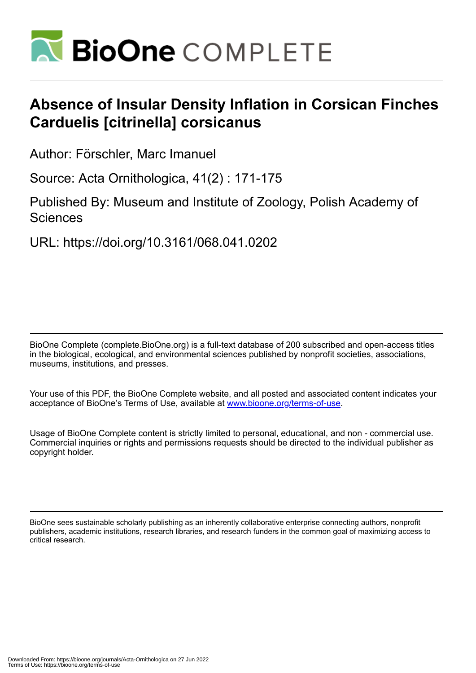

# **Absence of Insular Density Inflation in Corsican Finches Carduelis [citrinella] corsicanus**

Author: Förschler, Marc Imanuel

Source: Acta Ornithologica, 41(2) : 171-175

Published By: Museum and Institute of Zoology, Polish Academy of **Sciences** 

URL: https://doi.org/10.3161/068.041.0202

BioOne Complete (complete.BioOne.org) is a full-text database of 200 subscribed and open-access titles in the biological, ecological, and environmental sciences published by nonprofit societies, associations, museums, institutions, and presses.

Your use of this PDF, the BioOne Complete website, and all posted and associated content indicates your acceptance of BioOne's Terms of Use, available at www.bioone.org/terms-of-use.

Usage of BioOne Complete content is strictly limited to personal, educational, and non - commercial use. Commercial inquiries or rights and permissions requests should be directed to the individual publisher as copyright holder.

BioOne sees sustainable scholarly publishing as an inherently collaborative enterprise connecting authors, nonprofit publishers, academic institutions, research libraries, and research funders in the common goal of maximizing access to critical research.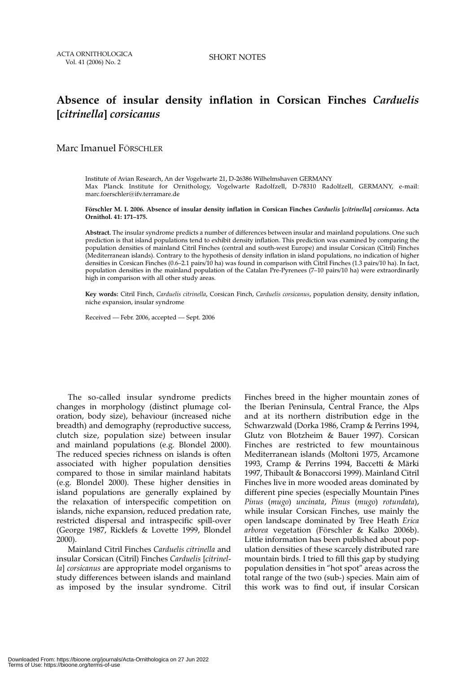# **Absence of insular density inflation in Corsican Finches** *Carduelis* **[***citrinella***]** *corsicanus*

## Marc Imanuel FÖRSCHLER

Institute of Avian Research, An der Vogelwarte 21, D-26386 Wilhelmshaven GERMANY Max Planck Institute for Ornithology, Vogelwarte Radolfzell, D-78310 Radolfzell, GERMANY, e-mail: marc.foerschler@ifv.terramare.de

#### **Förschler M. I. 2006. Absence of insular density inflation in Corsican Finches** *Carduelis* **[***citrinella***]** *corsicanus***. Acta Ornithol. 41: 171–175.**

**Abstract.** The insular syndrome predicts a number of differences between insular and mainland populations. One such prediction is that island populations tend to exhibit density inflation. This prediction was examined by comparing the population densities of mainland Citril Finches (central and south-west Europe) and insular Corsican (Citril) Finches (Mediterranean islands). Contrary to the hypothesis of density inflation in island populations, no indication of higher densities in Corsican Finches (0.6–2.1 pairs/10 ha) was found in comparison with Citril Finches (1.3 pairs/10 ha). In fact, population densities in the mainland population of the Catalan Pre-Pyrenees (7–10 pairs/10 ha) were extraordinarily high in comparison with all other study areas.

**Key words:** Citril Finch, *Carduelis citrinella*, Corsican Finch, *Carduelis corsicanus*, population density, density inflation, niche expansion, insular syndrome

Received — Febr. 2006, accepted — Sept. 2006

The so-called insular syndrome predicts changes in morphology (distinct plumage coloration, body size), behaviour (increased niche breadth) and demography (reproductive success, clutch size, population size) between insular and mainland populations (e.g. Blondel 2000). The reduced species richness on islands is often associated with higher population densities compared to those in similar mainland habitats (e.g. Blondel 2000). These higher densities in island populations are generally explained by the relaxation of interspecific competition on islands, niche expansion, reduced predation rate, restricted dispersal and intraspecific spill-over (George 1987, Ricklefs & Lovette 1999, Blondel 2000).

Mainland Citril Finches *Carduelis citrinella* and insular Corsican (Citril) Finches *Carduelis* [*citrinella*] *corsicanus* are appropriate model organisms to study differences between islands and mainland as imposed by the insular syndrome. Citril Finches breed in the higher mountain zones of the Iberian Peninsula, Central France, the Alps and at its northern distribution edge in the Schwarzwald (Dorka 1986, Cramp & Perrins 1994, Glutz von Blotzheim & Bauer 1997). Corsican Finches are restricted to few mountainous Mediterranean islands (Moltoni 1975, Arcamone 1993, Cramp & Perrins 1994, Baccetti & Märki 1997, Thibault & Bonaccorsi 1999). Mainland Citril Finches live in more wooded areas dominated by different pine species (especially Mountain Pines *Pinus* (*mugo*) *uncinata*, *Pinus* (*mugo*) *rotundata*), while insular Corsican Finches, use mainly the open landscape dominated by Tree Heath *Erica arborea* vegetation (Förschler & Kalko 2006b). Little information has been published about population densities of these scarcely distributed rare mountain birds. I tried to fill this gap by studying population densities in "hot spot" areas across the total range of the two (sub-) species. Main aim of this work was to find out, if insular Corsican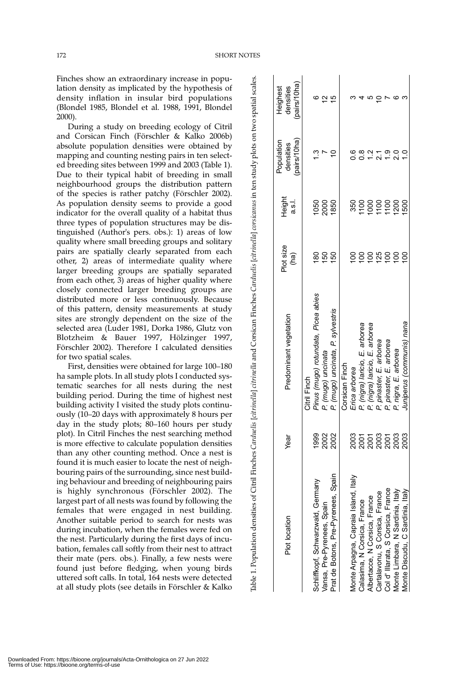Table 1. Population densities of Citril Finches *Carduelis* [*citrinella*] *citrinella* and Corsican Finches *Carduelis* [*citrinella*] *corsicanus* in ten study plots on two spatial scales.

lable 1. Population densities of Citril Finches Carduelis [citrinella] citrinella and Corsican Finches Carduelis [citrinella] corsicanus in ten study plots on two spatial scales.

Finches show an extraordinary increase in population density as implicated by the hypothesis of density inflation in insular bird populations (Blondel 1985, Blondel et al. 1988, 1991, Blondel 2000).

During a study on breeding ecology of Citril and Corsican Finch (Förschler & Kalko 2006b) absolute population densities were obtained by mapping and counting nesting pairs in ten selected breeding sites between 1999 and 2003 (Table 1). Due to their typical habit of breeding in small neighbourhood groups the distribution pattern of the species is rather patchy (Förschler 2002). As population density seems to provide a good indicator for the overall quality of a habitat thus three types of population structures may be distinguished (Author's pers. obs.): 1) areas of low quality where small breeding groups and solitary pairs are spatially clearly separated from each other, 2) areas of intermediate quality where larger breeding groups are spatially separated from each other, 3) areas of higher quality where closely connected larger breeding groups are distributed more or less continuously. Because of this pattern, density measurements at study sites are strongly dependent on the size of the selected area (Luder 1981, Dorka 1986, Glutz von Blotzheim & Bauer 1997, Hölzinger 1997, Förschler 2002). Therefore I calculated densities for two spatial scales.

First, densities were obtained for large 100–180 ha sample plots. In all study plots I conducted systematic searches for all nests during the nest building period. During the time of highest nest building activity I visited the study plots continuously (10–20 days with approximately 8 hours per day in the study plots; 80–160 hours per study plot). In Citril Finches the nest searching method is more effective to calculate population densities than any other counting method. Once a nest is found it is much easier to locate the nest of neighbouring pairs of the surrounding, since nest building behaviour and breeding of neighbouring pairs is highly synchronous (Förschler 2002). The largest part of all nests was found by following the females that were engaged in nest building. Another suitable period to search for nests was during incubation, when the females were fed on the nest. Particularly during the first days of incubation, females call softly from their nest to attract their mate (pers. obs.). Finally, a few nests were found just before fledging, when young birds uttered soft calls. In total, 164 nests were detected at all study plots (see details in Förschler & Kalko

| Plot location                        | Year                            | Predominant vegetation              | Plot size<br>(ha) | Height<br>a.s.l.     | (pairs/10ha)<br>Population<br>densities | (pairs/10ha)<br>densities<br>Heighest |
|--------------------------------------|---------------------------------|-------------------------------------|-------------------|----------------------|-----------------------------------------|---------------------------------------|
|                                      |                                 | <b>Citril Finch</b>                 |                   |                      |                                         |                                       |
| Schliffkopf, Schwarzwald, Germany    | 1999                            | Pinus (mugo) rotundata, Picea abies | 8                 |                      |                                         |                                       |
| Vansa, Pre-Pyrenees, Spain           |                                 | P. (mugo) uncinata                  | 50                | 1950<br>2002<br>1850 |                                         | $\mathbf{\sim}$                       |
| Prat de Botons, Pre-Pyrenees, Spain  | 2002<br>2002                    | P. (mugo) uncinata, P. sylvestris   | 69                |                      |                                         | ю                                     |
|                                      |                                 | Corsican Finch                      |                   |                      |                                         |                                       |
| Monte Arpagna, Capraia Island, Italy |                                 | Erica arborea                       | $\overline{5}$    | 350                  | ە<br>0                                  |                                       |
| Calasima, N Corsica, France          |                                 | P (nigra) laricio, E. arborea       | $\overline{5}$    |                      | ∞ٍ                                      |                                       |
| Albertacce, N Corsica, France        |                                 | P (nigra) laricio, E. arborea       | $\overline{5}$    |                      | $\bar{5}$                               |                                       |
| Cartalavonu, S Corsica, France       | ទី<br>កំពុំកំពូន<br>កំពូន កំពូន | P. pinaster, E. arborea             | <b>125</b>        |                      | $\overline{21}$                         |                                       |
| Col d' Illarata, S Corsica, France   |                                 | P. pinaster, E. arborea             | $\frac{8}{1}$     |                      | <u>ာ</u>                                |                                       |
| Monte Limbara, N Sardinia, Italy     |                                 | P. nigra, E. arborea                | <u>ទ</u>          | <b>1200</b>          | ್ಷ                                      | ဖ                                     |
| Monte Discudu, C Sardinia, Italy     | 2003                            | Juniperus (communis) nana           | $\frac{8}{1}$     | 1500                 |                                         |                                       |
|                                      |                                 |                                     |                   |                      |                                         |                                       |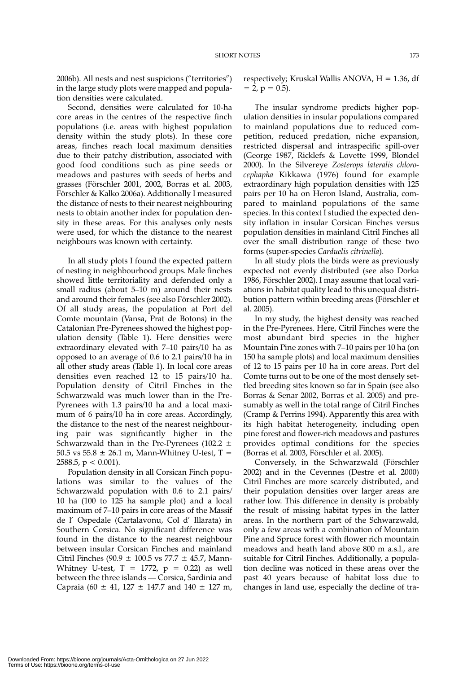2006b). All nests and nest suspicions ("territories") in the large study plots were mapped and population densities were calculated.

Second, densities were calculated for 10-ha core areas in the centres of the respective finch populations (i.e. areas with highest population density within the study plots). In these core areas, finches reach local maximum densities due to their patchy distribution, associated with good food conditions such as pine seeds or meadows and pastures with seeds of herbs and grasses (Förschler 2001, 2002, Borras et al. 2003, Förschler & Kalko 2006a). Additionally I measured the distance of nests to their nearest neighbouring nests to obtain another index for population density in these areas. For this analyses only nests were used, for which the distance to the nearest neighbours was known with certainty.

In all study plots I found the expected pattern of nesting in neighbourhood groups. Male finches showed little territoriality and defended only a small radius (about 5–10 m) around their nests and around their females (see also Förschler 2002). Of all study areas, the population at Port del Comte mountain (Vansa, Prat de Botons) in the Catalonian Pre-Pyrenees showed the highest population density (Table 1). Here densities were extraordinary elevated with 7–10 pairs/10 ha as opposed to an average of 0.6 to 2.1 pairs/10 ha in all other study areas (Table 1). In local core areas densities even reached 12 to 15 pairs/10 ha. Population density of Citril Finches in the Schwarzwald was much lower than in the Pre-Pyrenees with 1.3 pairs/10 ha and a local maximum of 6 pairs/10 ha in core areas. Accordingly, the distance to the nest of the nearest neighbouring pair was significantly higher in the Schwarzwald than in the Pre-Pyrenees (102.2  $\pm$ 50.5 vs 55.8  $\pm$  26.1 m, Mann-Whitney U-test, T = 2588.5,  $p < 0.001$ ).

Population density in all Corsican Finch populations was similar to the values of the Schwarzwald population with 0.6 to 2.1 pairs/ 10 ha (100 to 125 ha sample plot) and a local maximum of 7–10 pairs in core areas of the Massif de l' Ospedale (Cartalavonu, Col d' Illarata) in Southern Corsica. No significant difference was found in the distance to the nearest neighbour between insular Corsican Finches and mainland Citril Finches  $(90.9 \pm 100.5 \text{ vs } 77.7 \pm 45.7)$ . Mann-Whitney U-test,  $T = 1772$ ,  $p = 0.22$ ) as well between the three islands — Corsica, Sardinia and Capraia (60  $\pm$  41, 127  $\pm$  147.7 and 140  $\pm$  127 m, respectively; Kruskal Wallis ANOVA,  $H = 1.36$ , df  $= 2$ ,  $p = 0.5$ ).

The insular syndrome predicts higher population densities in insular populations compared to mainland populations due to reduced competition, reduced predation, niche expansion, restricted dispersal and intraspecific spill-over (George 1987, Ricklefs & Lovette 1999, Blondel 2000). In the Silvereye *Zosterops lateralis chlorocephapha* Kikkawa (1976) found for example extraordinary high population densities with 125 pairs per 10 ha on Heron Island, Australia, compared to mainland populations of the same species. In this context I studied the expected density inflation in insular Corsican Finches versus population densities in mainland Citril Finches all over the small distribution range of these two forms (super-species *Carduelis citrinella*).

In all study plots the birds were as previously expected not evenly distributed (see also Dorka 1986, Förschler 2002). I may assume that local variations in habitat quality lead to this unequal distribution pattern within breeding areas (Förschler et al. 2005).

In my study, the highest density was reached in the Pre-Pyrenees. Here, Citril Finches were the most abundant bird species in the higher Mountain Pine zones with 7–10 pairs per 10 ha (on 150 ha sample plots) and local maximum densities of 12 to 15 pairs per 10 ha in core areas. Port del Comte turns out to be one of the most densely settled breeding sites known so far in Spain (see also Borras & Senar 2002, Borras et al. 2005) and presumably as well in the total range of Citril Finches (Cramp & Perrins 1994). Apparently this area with its high habitat heterogeneity, including open pine forest and flower-rich meadows and pastures provides optimal conditions for the species (Borras et al. 2003, Förschler et al. 2005).

Conversely, in the Schwarzwald (Förschler 2002) and in the Cevennes (Destre et al. 2000) Citril Finches are more scarcely distributed, and their population densities over larger areas are rather low. This difference in density is probably the result of missing habitat types in the latter areas. In the northern part of the Schwarzwald, only a few areas with a combination of Mountain Pine and Spruce forest with flower rich mountain meadows and heath land above 800 m a.s.l., are suitable for Citril Finches. Additionally, a population decline was noticed in these areas over the past 40 years because of habitat loss due to changes in land use, especially the decline of tra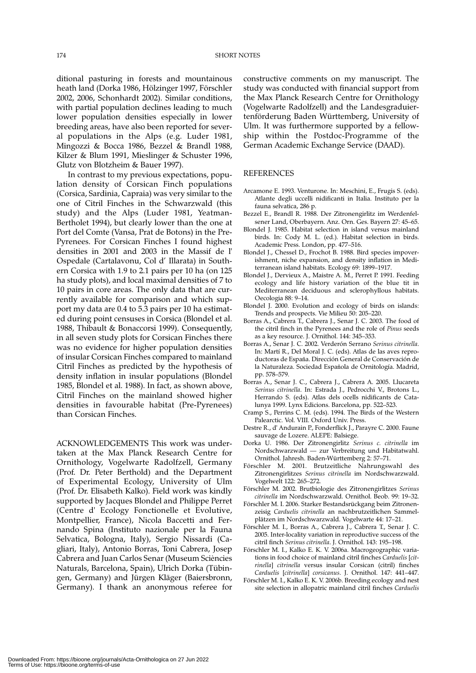ditional pasturing in forests and mountainous heath land (Dorka 1986, Hölzinger 1997, Förschler 2002, 2006, Schonhardt 2002). Similar conditions, with partial population declines leading to much lower population densities especially in lower breeding areas, have also been reported for several populations in the Alps (e.g. Luder 1981, Mingozzi & Bocca 1986, Bezzel & Brandl 1988, Kilzer & Blum 1991, Mieslinger & Schuster 1996, Glutz von Blotzheim & Bauer 1997).

In contrast to my previous expectations, population density of Corsican Finch populations (Corsica, Sardinia, Capraia) was very similar to the one of Citril Finches in the Schwarzwald (this study) and the Alps (Luder 1981, Yeatman-Bertholet 1994), but clearly lower than the one at Port del Comte (Vansa, Prat de Botons) in the Pre-Pyrenees. For Corsican Finches I found highest densities in 2001 and 2003 in the Massif de l' Ospedale (Cartalavonu, Col d' Illarata) in Southern Corsica with 1.9 to 2.1 pairs per 10 ha (on 125 ha study plots), and local maximal densities of 7 to 10 pairs in core areas. The only data that are currently available for comparison and which support my data are 0.4 to 5.3 pairs per 10 ha estimated during point censuses in Corsica (Blondel et al. 1988, Thibault & Bonaccorsi 1999). Consequently, in all seven study plots for Corsican Finches there was no evidence for higher population densities of insular Corsican Finches compared to mainland Citril Finches as predicted by the hypothesis of density inflation in insular populations (Blondel 1985, Blondel et al. 1988). In fact, as shown above, Citril Finches on the mainland showed higher densities in favourable habitat (Pre-Pyrenees) than Corsican Finches.

ACKNOWLEDGEMENTS This work was undertaken at the Max Planck Research Centre for Ornithology, Vogelwarte Radolfzell, Germany (Prof. Dr. Peter Berthold) and the Department of Experimental Ecology, University of Ulm (Prof. Dr. Elisabeth Kalko). Field work was kindly supported by Jacques Blondel and Philippe Perret (Centre d' Ecology Fonctionelle et Evolutive, Montpellier, France), Nicola Baccetti and Fernando Spina (Instituto nazionale per la Fauna Selvatica, Bologna, Italy), Sergio Nissardi (Cagliari, Italy), Antonio Borras, Toni Cabrera, Josep Cabrera and Juan Carlos Senar (Museum Sciències Naturals, Barcelona, Spain), Ulrich Dorka (Tübingen, Germany) and Jürgen Kläger (Baiersbronn, Germany). I thank an anonymous referee for

constructive comments on my manuscript. The study was conducted with financial support from the Max Planck Research Centre for Ornithology (Vogelwarte Radolfzell) and the Landesgraduiertenförderung Baden Württemberg, University of Ulm. It was furthermore supported by a fellowship within the Postdoc-Programme of the German Academic Exchange Service (DAAD).

### **REFERENCES**

- Arcamone E. 1993. Venturone. In: Meschini, E., Frugis S. (eds). Atlante degli uccelli nidificanti in Italia. Instituto per la fauna selvatica, 286 p.
- Bezzel E., Brandl R. 1988. Der Zitronengirlitz im Werdenfelsener Land, Oberbayern. Anz. Orn. Ges. Bayern 27: 45–65.
- Blondel J. 1985. Habitat selection in island versus mainland birds. In: Cody M. L. (ed.). Habitat selection in birds. Academic Press. London, pp. 477–516.
- Blondel J., Chessel D., Frochot B. 1988. Bird species impoverishment, niche expansion, and density inflation in Mediterranean island habitats. Ecology 69: 1899–1917.
- Blondel J., Dervieux A., Maistre A. M., Perret P. 1991. Feeding ecology and life history variation of the blue tit in Mediterranean deciduous and sclerophyllous habitats. Oecologia 88: 9–14.
- Blondel J. 2000. Evolution and ecology of birds on islands: Trends and prospects. Vie Milieu 50: 205–220.
- Borras A., Cabrera T., Cabrera J., Senar J. C. 2003. The food of the citril finch in the Pyrenees and the role of *Pinus* seeds as a key resource. J. Ornithol. 144: 345–353.
- Borras A., Senar J. C. 2002. Verderón Serrano *Serinus citrinella*. In: Martí R., Del Moral J. C. (eds). Atlas de las aves reproductoras de España. Dirección General de Conservación de la Naturaleza. Sociedad Española de Ornitología. Madrid, pp. 578–579.
- Borras A., Senar J. C., Cabrera J., Cabrera A. 2005. Llucareta *Serinus citrinella*. In: Estrada J., Pedrocchi V., Brotons L., Herrando S. (eds). Atlas dels ocells nidificants de Catalunya 1999. Lynx Edicions. Barcelona, pp. 522–523.
- Cramp S., Perrins C. M. (eds). 1994. The Birds of the Western Palearctic. Vol. VIII. Oxford Univ. Press.
- Destre R., d' Andurain P., Fonderflick J., Parayre C. 2000. Faune sauvage de Lozere. ALEPE: Balsiege.
- Dorka U. 1986. Der Zitronengirlitz *Serinus c. citrinella* im Nordschwarzwald — zur Verbreitung und Habitatwahl. Ornithol. Jahresh. Baden-Württemberg 2: 57–71.
- Förschler M. 2001. Brutzeitliche Nahrungswahl des Zitronengirlitzes *Serinus citrinella* im Nordschwarzwald. Vogelwelt 122: 265–272.
- Förschler M. 2002. Brutbiologie des Zitronengirlitzes *Serinus citrinella* im Nordschwarzwald. Ornithol. Beob. 99: 19–32.
- Förschler M. I. 2006. Starker Bestandsrückgang beim Zitronenzeisig *Carduelis citrinella* an nachbrutzeitlichen Sammelplätzen im Nordschwarzwald. Vogelwarte 44: 17–21.
- Förschler M. I., Borras A., Cabrera J., Cabrera T., Senar J. C. 2005. Inter-locality variation in reproductive success of the citril finch *Serinus citrinella*. J. Ornithol. 143: 195–198.
- Förschler M. I., Kalko E. K. V. 2006a. Macrogeographic variations in food choice of mainland citril finches *Carduelis* [*citrinella*] *citrinella* versus insular Corsican (citril) finches *Carduelis* [*citrinella*] *corsicanus*. J. Ornithol. 147: 441–447.
- Förschler M. I., Kalko E. K. V. 2006b. Breeding ecology and nest site selection in allopatric mainland citril finches *Carduelis*